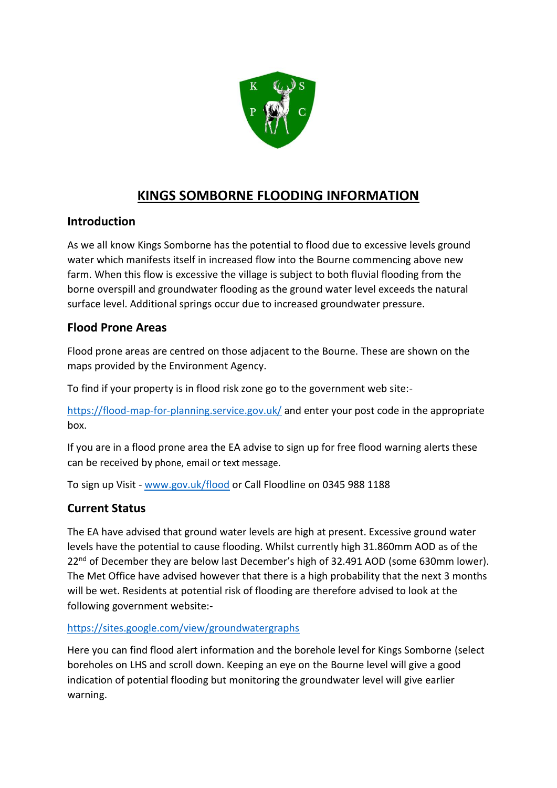

# **KINGS SOMBORNE FLOODING INFORMATION**

### **Introduction**

As we all know Kings Somborne has the potential to flood due to excessive levels ground water which manifests itself in increased flow into the Bourne commencing above new farm. When this flow is excessive the village is subject to both fluvial flooding from the borne overspill and groundwater flooding as the ground water level exceeds the natural surface level. Additional springs occur due to increased groundwater pressure.

## **Flood Prone Areas**

Flood prone areas are centred on those adjacent to the Bourne. These are shown on the maps provided by the Environment Agency.

To find if your property is in flood risk zone go to the government web site:-

<https://flood-map-for-planning.service.gov.uk/> and enter your post code in the appropriate box.

If you are in a flood prone area the EA advise to sign up for free flood warning alerts these can be received by phone, email or text message.

To sign up Visit - [www.gov.uk/flood](http://www.gov.uk/flood) or Call Floodline on 0345 988 1188

### **Current Status**

The EA have advised that ground water levels are high at present. Excessive ground water levels have the potential to cause flooding. Whilst currently high 31.860mm AOD as of the 22<sup>nd</sup> of December they are below last December's high of 32.491 AOD (some 630mm lower). The Met Office have advised however that there is a high probability that the next 3 months will be wet. Residents at potential risk of flooding are therefore advised to look at the following government website:-

#### <https://sites.google.com/view/groundwatergraphs>

Here you can find flood alert information and the borehole level for Kings Somborne (select boreholes on LHS and scroll down. Keeping an eye on the Bourne level will give a good indication of potential flooding but monitoring the groundwater level will give earlier warning.